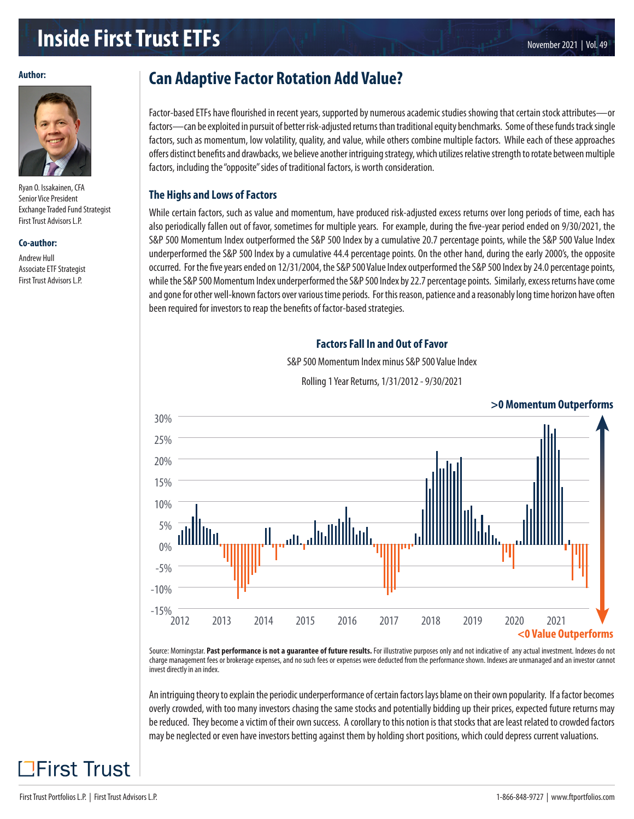# **Inside First Trust ETFs**

#### **Author:**



Ryan O. Issakainen, CFA Senior Vice President Exchange Traded Fund Strategist First Trust Advisors L.P.

#### **Co-author:**

Andrew Hull Associate ETF Strategist First Trust Advisors L.P.

# **Can Adaptive Factor Rotation Add Value?**

Factor-based ETFs have flourished in recent years, supported by numerous academic studies showing that certain stock attributes—or factors—can be exploited in pursuit of better risk-adjusted returns than traditional equity benchmarks. Some of these funds track single factors, such as momentum, low volatility, quality, and value, while others combine multiple factors. While each of these approaches offers distinct benefits and drawbacks, we believe another intriguing strategy, which utilizes relative strength to rotate between multiple factors, including the "opposite" sides of traditional factors, is worth consideration.

#### **The Highs and Lows of Factors**

While certain factors, such as value and momentum, have produced risk-adjusted excess returns over long periods of time, each has also periodically fallen out of favor, sometimes for multiple years. For example, during the five-year period ended on 9/30/2021, the S&P 500 Momentum Index outperformed the S&P 500 Index by a cumulative 20.7 percentage points, while the S&P 500 Value Index underperformed the S&P 500 Index by a cumulative 44.4 percentage points. On the other hand, during the early 2000's, the opposite occurred. For the five years ended on 12/31/2004, the S&P 500 Value Index outperformed the S&P 500 Index by 24.0 percentage points, while the S&P 500 Momentum Index underperformed the S&P 500 Index by 22.7 percentage points. Similarly, excess returns have come and gone for other well-known factors over various time periods. For this reason, patience and a reasonably long time horizon have often been required for investors to reap the benefits of factor-based strategies.

### **Factors Fall In and Out of Favor**

S&P 500 Momentum Index minus S&P 500 Value Index

Rolling 1 Year Returns, 1/31/2012 - 9/30/2021



Source: Morningstar. Past performance is not a guarantee of future results. For illustrative purposes only and not indicative of any actual investment. Indexes do not charge management fees or brokerage expenses, and no such fees or expenses were deducted from the performance shown. Indexes are unmanaged and an investor cannot invest directly in an index.

An intriguing theory to explain the periodic underperformance of certain factors lays blame on their own popularity. If a factor becomes overly crowded, with too many investors chasing the same stocks and potentially bidding up their prices, expected future returns may be reduced. They become a victim of their own success. A corollary to this notion is that stocks that are least related to crowded factors may be neglected or even have investors betting against them by holding short positions, which could depress current valuations.

**TFirst Trust**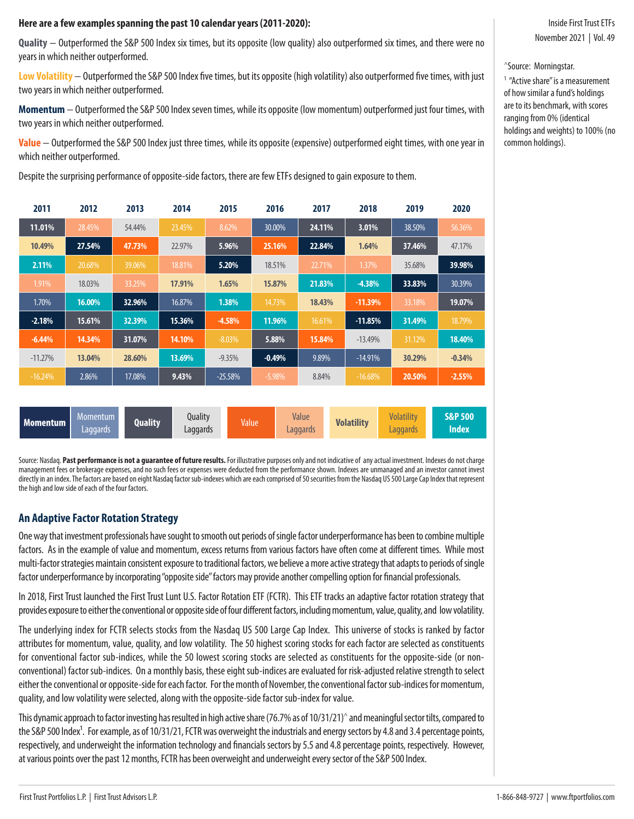### **Here are a few examples spanning the past 10 calendar years (2011-2020):**

**Quality** − Outperformed the S&P 500 Index six times, but its opposite (low quality) also outperformed six times, and there were no years in which neither outperformed.

**Low Volatility** − Outperformed the S&P 500 Index five times, but its opposite (high volatility) also outperformed five times, with just two years in which neither outperformed.

**Momentum** − Outperformed the S&P 500 Index seven times, while its opposite (low momentum) outperformed just four times, with two years in which neither outperformed.

**Value** − Outperformed the S&P 500 Index just three times, while its opposite (expensive) outperformed eight times, with one year in which neither outperformed.

Despite the surprising performance of opposite-side factors, there are few ETFs designed to gain exposure to them.

| 2011      | 2012   | 2013   | 2014   | 2015      | 2016      | 2017   | 2018      | 2019   | 2020     |
|-----------|--------|--------|--------|-----------|-----------|--------|-----------|--------|----------|
| 11.01%    | 28.45% | 54.44% | 23.45% | 8.62%     | 30.00%    | 24.11% | 3.01%     | 38.50% | 56.36%   |
| 10.49%    | 27.54% | 47.73% | 22.97% | 5.96%     | 25.16%    | 22.84% | 1.64%     | 37.46% | 47.17%   |
| 2.11%     | 20.68% | 39.06% | 18.81% | 5.20%     | 18.51%    | 22.71% | 1.37%     | 35.68% | 39.98%   |
| 1.91%     | 18.03% | 33.25% | 17.91% | 1.65%     | 15.87%    | 21.83% | $-4.38%$  | 33.83% | 30.39%   |
| 1.70%     | 16.00% | 32.96% | 16.87% | 1.38%     | 14.73%    | 18.43% | $-11.39%$ | 33.18% | 19.07%   |
| $-2.18%$  | 15.61% | 32.39% | 15.36% | $-4.58%$  | 11.96%    | 16.61% | $-11.85%$ | 31.49% | 18.79%   |
| $-6.44%$  | 14.34% | 31.07% | 14.10% | $-8.03\%$ | 5.88%     | 15.84% | $-13.49%$ | 31.12% | 18.40%   |
| $-11.27%$ | 13.04% | 28.60% | 13.69% | $-9.35%$  | $-0.49%$  | 9.89%  | $-14.91%$ | 30.29% | $-0.34%$ |
| $-16.24%$ | 2.86%  | 17.08% | 9.43%  | $-25.58%$ | $-5.98\%$ | 8.84%  | $-16.68%$ | 20.50% | $-2.55%$ |
|           |        |        |        |           |           |        |           |        |          |

| Momentum | Momentum .<br>Laggards | Quality | Quality<br>Laggards | Value | Value<br>Laggards | <b>Volatility</b> | $1 - 1$<br><b>Wolating</b><br>.aggards | <b>S&amp;P 500</b><br><b>Index</b> |
|----------|------------------------|---------|---------------------|-------|-------------------|-------------------|----------------------------------------|------------------------------------|
|----------|------------------------|---------|---------------------|-------|-------------------|-------------------|----------------------------------------|------------------------------------|

Source: Nasdaq. **Past performance is not a guarantee of future results.** For illustrative purposes only and not indicative of any actual investment. Indexes do not charge management fees or brokerage expenses, and no such fees or expenses were deducted from the performance shown. Indexes are unmanaged and an investor cannot invest directly in an index. The factors are based on eight Nasdaq factor sub-indexes which are each comprised of 50 securities from the Nasdaq US 500 Large Cap Index that represent the high and low side of each of the four factors.

## **An Adaptive Factor Rotation Strategy**

One way that investment professionals have sought to smooth out periods of single factor underperformance has been to combine multiple factors. As in the example of value and momentum, excess returns from various factors have often come at different times. While most multi-factor strategies maintain consistent exposure to traditional factors, we believe a more active strategy that adapts to periods of single factor underperformance by incorporating "opposite side" factors may provide another compelling option for financial professionals.

In 2018, First Trust launched the First Trust Lunt U.S. Factor Rotation ETF (FCTR). This ETF tracks an adaptive factor rotation strategy that provides exposure to either the conventional or opposite side of four different factors, including momentum, value, quality, and low volatility.

The underlying index for FCTR selects stocks from the Nasdaq US 500 Large Cap Index. This universe of stocks is ranked by factor attributes for momentum, value, quality, and low volatility. The 50 highest scoring stocks for each factor are selected as constituents for conventional factor sub-indices, while the 50 lowest scoring stocks are selected as constituents for the opposite-side (or nonconventional) factor sub-indices. On a monthly basis, these eight sub-indices are evaluated for risk-adjusted relative strength to select either the conventional or opposite-side for each factor. For the month of November, the conventional factor sub-indices for momentum, quality, and low volatility were selected, along with the opposite-side factor sub-index for value.

This dynamic approach to factor investing has resulted in high active share (76.7% as of 10/31/21)^ and meaningful sector tilts, compared to the S&P 500 Index<sup>1</sup>. For example, as of 10/31/21, FCTR was overweight the industrials and energy sectors by 4.8 and 3.4 percentage points, respectively, and underweight the information technology and financials sectors by 5.5 and 4.8 percentage points, respectively. However, at various points over the past 12 months, FCTR has been overweight and underweight every sector of the S&P 500 Index.

# Inside First Trust ETFs November 2021 | Vol. 49

^Source: Morningstar.

<sup>1</sup> "Active share" is a measurement of how similar a fund's holdings are to its benchmark, with scores ranging from 0% (identical holdings and weights) to 100% (no common holdings).